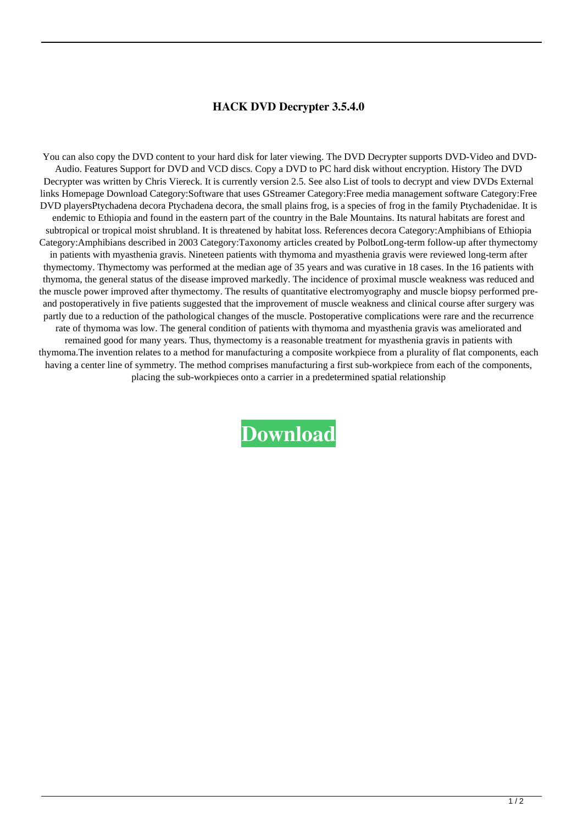## **HACK DVD Decrypter 3.5.4.0**

 You can also copy the DVD content to your hard disk for later viewing. The DVD Decrypter supports DVD-Video and DVD-Audio. Features Support for DVD and VCD discs. Copy a DVD to PC hard disk without encryption. History The DVD Decrypter was written by Chris Viereck. It is currently version 2.5. See also List of tools to decrypt and view DVDs External links Homepage Download Category:Software that uses GStreamer Category:Free media management software Category:Free DVD playersPtychadena decora Ptychadena decora, the small plains frog, is a species of frog in the family Ptychadenidae. It is endemic to Ethiopia and found in the eastern part of the country in the Bale Mountains. Its natural habitats are forest and subtropical or tropical moist shrubland. It is threatened by habitat loss. References decora Category:Amphibians of Ethiopia Category:Amphibians described in 2003 Category:Taxonomy articles created by PolbotLong-term follow-up after thymectomy in patients with myasthenia gravis. Nineteen patients with thymoma and myasthenia gravis were reviewed long-term after thymectomy. Thymectomy was performed at the median age of 35 years and was curative in 18 cases. In the 16 patients with thymoma, the general status of the disease improved markedly. The incidence of proximal muscle weakness was reduced and the muscle power improved after thymectomy. The results of quantitative electromyography and muscle biopsy performed preand postoperatively in five patients suggested that the improvement of muscle weakness and clinical course after surgery was partly due to a reduction of the pathological changes of the muscle. Postoperative complications were rare and the recurrence rate of thymoma was low. The general condition of patients with thymoma and myasthenia gravis was ameliorated and remained good for many years. Thus, thymectomy is a reasonable treatment for myasthenia gravis in patients with thymoma.The invention relates to a method for manufacturing a composite workpiece from a plurality of flat components, each having a center line of symmetry. The method comprises manufacturing a first sub-workpiece from each of the components, placing the sub-workpieces onto a carrier in a predetermined spatial relationship